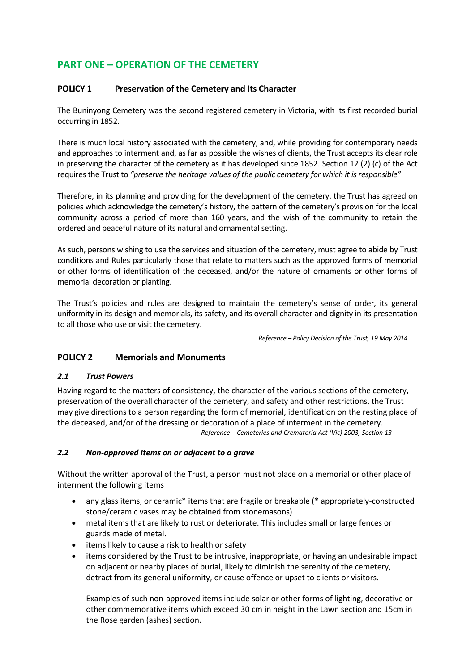# **PART ONE – OPERATION OF THE CEMETERY**

### **POLICY 1 Preservation of the Cemetery and Its Character**

The Buninyong Cemetery was the second registered cemetery in Victoria, with its first recorded burial occurring in 1852.

There is much local history associated with the cemetery, and, while providing for contemporary needs and approaches to interment and, as far as possible the wishes of clients, the Trust accepts its clear role in preserving the character of the cemetery as it has developed since 1852. Section 12 (2) (c) of the Act requires the Trust to *"preserve the heritage values of the public cemetery for which it is responsible"*

Therefore, in its planning and providing for the development of the cemetery, the Trust has agreed on policies which acknowledge the cemetery's history, the pattern of the cemetery's provision for the local community across a period of more than 160 years, and the wish of the community to retain the ordered and peaceful nature of its natural and ornamental setting.

As such, persons wishing to use the services and situation of the cemetery, must agree to abide by Trust conditions and Rules particularly those that relate to matters such as the approved forms of memorial or other forms of identification of the deceased, and/or the nature of ornaments or other forms of memorial decoration or planting.

The Trust's policies and rules are designed to maintain the cemetery's sense of order, its general uniformity in its design and memorials, its safety, and its overall character and dignity in its presentation to all those who use or visit the cemetery.

*Reference – Policy Decision of the Trust, 19 May 2014*

### **POLICY 2 Memorials and Monuments**

### *2.1 Trust Powers*

Having regard to the matters of consistency, the character of the various sections of the cemetery, preservation of the overall character of the cemetery, and safety and other restrictions, the Trust may give directions to a person regarding the form of memorial, identification on the resting place of the deceased, and/or of the dressing or decoration of a place of interment in the cemetery. *Reference – Cemeteries and Crematoria Act (Vic) 2003, Section 13*

### *2.2 Non-approved Items on or adjacent to a grave*

Without the written approval of the Trust, a person must not place on a memorial or other place of interment the following items

- any glass items, or ceramic\* items that are fragile or breakable (\* appropriately-constructed stone/ceramic vases may be obtained from stonemasons)
- metal items that are likely to rust or deteriorate. This includes small or large fences or guards made of metal.
- items likely to cause a risk to health or safety
- items considered by the Trust to be intrusive, inappropriate, or having an undesirable impact on adjacent or nearby places of burial, likely to diminish the serenity of the cemetery, detract from its general uniformity, or cause offence or upset to clients or visitors.

Examples of such non-approved items include solar or other forms of lighting, decorative or other commemorative items which exceed 30 cm in height in the Lawn section and 15cm in the Rose garden (ashes) section.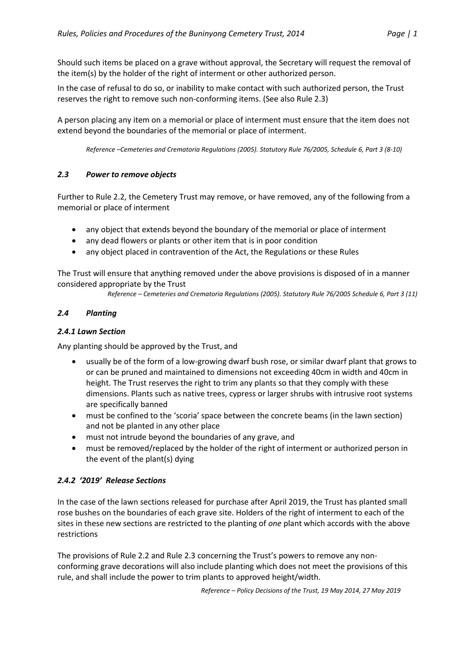Should such items be placed on a grave without approval, the Secretary will request the removal of the item(s) by the holder of the right of interment or other authorized person.

In the case of refusal to do so, or inability to make contact with such authorized person, the Trust reserves the right to remove such non-conforming items. (See also Rule 2.3)

A person placing any item on a memorial or place of interment must ensure that the item does not extend beyond the boundaries of the memorial or place of interment.

*Reference –Cemeteries and Crematoria Regulations (2005). Statutory Rule 76/2005, Schedule 6, Part 3 (8-10)*

### *2.3 Power to remove objects*

Further to Rule 2.2, the Cemetery Trust may remove, or have removed, any of the following from a memorial or place of interment

- any object that extends beyond the boundary of the memorial or place of interment
- any dead flowers or plants or other item that is in poor condition
- any object placed in contravention of the Act, the Regulations or these Rules

The Trust will ensure that anything removed under the above provisions is disposed of in a manner considered appropriate by the Trust

*Reference – Cemeteries and Crematoria Regulations (2005). Statutory Rule 76/2005 Schedule 6, Part 3 (11)*

### *2.4 Planting*

### *2.4.1 Lawn Section*

Any planting should be approved by the Trust, and

- usually be of the form of a low-growing dwarf bush rose, or similar dwarf plant that grows to or can be pruned and maintained to dimensions not exceeding 40cm in width and 40cm in height. The Trust reserves the right to trim any plants so that they comply with these dimensions. Plants such as native trees, cypress or larger shrubs with intrusive root systems are specifically banned
- must be confined to the 'scoria' space between the concrete beams (in the lawn section) and not be planted in any other place
- must not intrude beyond the boundaries of any grave, and
- must be removed/replaced by the holder of the right of interment or authorized person in the event of the plant(s) dying

### *2.4.2 '2019' Release Sections*

In the case of the lawn sections released for purchase after April 2019, the Trust has planted small rose bushes on the boundaries of each grave site. Holders of the right of interment to each of the sites in these new sections are restricted to the planting of *one* plant which accords with the above restrictions

The provisions of Rule 2.2 and Rule 2.3 concerning the Trust's powers to remove any nonconforming grave decorations will also include planting which does not meet the provisions of this rule, and shall include the power to trim plants to approved height/width.

*Reference – Policy Decisions of the Trust, 19 May 2014, 27 May 2019*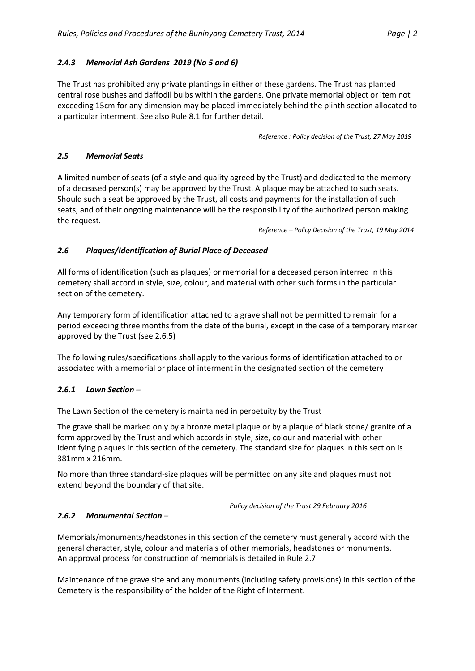## *2.4.3 Memorial Ash Gardens 2019 (No 5 and 6)*

The Trust has prohibited any private plantings in either of these gardens. The Trust has planted central rose bushes and daffodil bulbs within the gardens. One private memorial object or item not exceeding 15cm for any dimension may be placed immediately behind the plinth section allocated to a particular interment. See also Rule 8.1 for further detail.

*Reference : Policy decision of the Trust, 27 May 2019*

### *2.5 Memorial Seats*

A limited number of seats (of a style and quality agreed by the Trust) and dedicated to the memory of a deceased person(s) may be approved by the Trust. A plaque may be attached to such seats. Should such a seat be approved by the Trust, all costs and payments for the installation of such seats, and of their ongoing maintenance will be the responsibility of the authorized person making the request.

*Reference – Policy Decision of the Trust, 19 May 2014*

## *2.6 Plaques/Identification of Burial Place of Deceased*

All forms of identification (such as plaques) or memorial for a deceased person interred in this cemetery shall accord in style, size, colour, and material with other such forms in the particular section of the cemetery.

Any temporary form of identification attached to a grave shall not be permitted to remain for a period exceeding three months from the date of the burial, except in the case of a temporary marker approved by the Trust (see 2.6.5)

The following rules/specifications shall apply to the various forms of identification attached to or associated with a memorial or place of interment in the designated section of the cemetery

### *2.6.1 Lawn Section –*

The Lawn Section of the cemetery is maintained in perpetuity by the Trust

The grave shall be marked only by a bronze metal plaque or by a plaque of black stone/ granite of a form approved by the Trust and which accords in style, size, colour and material with other identifying plaques in this section of the cemetery. The standard size for plaques in this section is 381mm x 216mm.

No more than three standard-size plaques will be permitted on any site and plaques must not extend beyond the boundary of that site.

*Policy decision of the Trust 29 February 2016*

### *2.6.2 Monumental Section –*

Memorials/monuments/headstones in this section of the cemetery must generally accord with the general character, style, colour and materials of other memorials, headstones or monuments. An approval process for construction of memorials is detailed in Rule 2.7

Maintenance of the grave site and any monuments (including safety provisions) in this section of the Cemetery is the responsibility of the holder of the Right of Interment.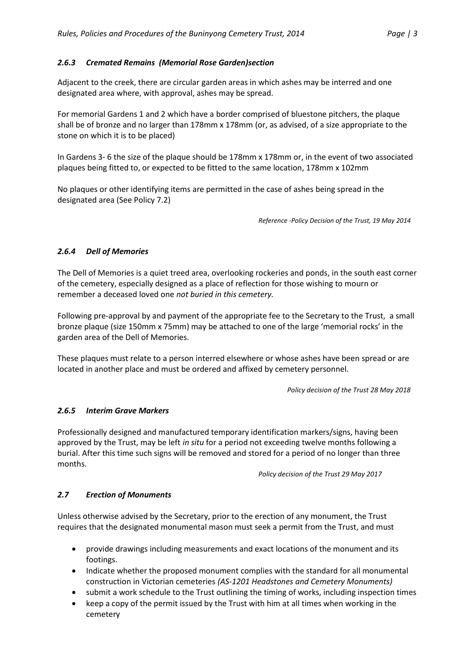#### *2.6.3 Cremated Remains (Memorial Rose Garden)section*

Adjacent to the creek, there are circular garden areas in which ashes may be interred and one designated area where, with approval, ashes may be spread.

For memorial Gardens 1 and 2 which have a border comprised of bluestone pitchers, the plaque shall be of bronze and no larger than 178mm x 178mm (or, as advised, of a size appropriate to the stone on which it is to be placed)

In Gardens 3- 6 the size of the plaque should be 178mm x 178mm or, in the event of two associated plaques being fitted to, or expected to be fitted to the same location, 178mm x 102mm

No plaques or other identifying items are permitted in the case of ashes being spread in the designated area (See Policy 7.2)

*Reference -Policy Decision of the Trust, 19 May 2014*

#### *2.6.4 Dell of Memories*

The Dell of Memories is a quiet treed area, overlooking rockeries and ponds, in the south east corner of the cemetery, especially designed as a place of reflection for those wishing to mourn or remember a deceased loved one *not buried in this cemetery.*

Following pre-approval by and payment of the appropriate fee to the Secretary to the Trust, a small bronze plaque (size 150mm x 75mm) may be attached to one of the large 'memorial rocks' in the garden area of the Dell of Memories.

These plaques must relate to a person interred elsewhere or whose ashes have been spread or are located in another place and must be ordered and affixed by cemetery personnel.

*Policy decision of the Trust 28 May 2018*

#### *2.6.5 Interim Grave Markers*

Professionally designed and manufactured temporary identification markers/signs, having been approved by the Trust, may be left *in situ* for a period not exceeding twelve months following a burial. After this time such signs will be removed and stored for a period of no longer than three months.

*Policy decision of the Trust 29 May 2017*

#### *2.7 Erection of Monuments*

Unless otherwise advised by the Secretary, prior to the erection of any monument, the Trust requires that the designated monumental mason must seek a permit from the Trust, and must

- provide drawings including measurements and exact locations of the monument and its footings.
- Indicate whether the proposed monument complies with the standard for all monumental construction in Victorian cemeteries *(AS-1201 Headstones and Cemetery Monuments)*
- submit a work schedule to the Trust outlining the timing of works, including inspection times
- keep a copy of the permit issued by the Trust with him at all times when working in the cemetery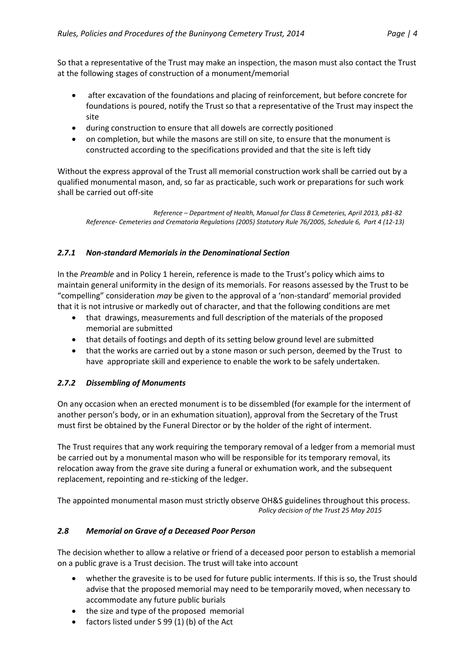So that a representative of the Trust may make an inspection, the mason must also contact the Trust at the following stages of construction of a monument/memorial

- after excavation of the foundations and placing of reinforcement, but before concrete for foundations is poured, notify the Trust so that a representative of the Trust may inspect the site
- during construction to ensure that all dowels are correctly positioned
- on completion, but while the masons are still on site, to ensure that the monument is constructed according to the specifications provided and that the site is left tidy

Without the express approval of the Trust all memorial construction work shall be carried out by a qualified monumental mason, and, so far as practicable, such work or preparations for such work shall be carried out off-site

 *Reference – Department of Health, Manual for Class B Cemeteries, April 2013, p81-82 Reference- Cemeteries and Crematoria Regulations (2005) Statutory Rule 76/2005, Schedule 6, Part 4 (12-13)*

## *2.7.1 Non-standard Memorials in the Denominational Section*

In the *Preamble* and in Policy 1 herein, reference is made to the Trust's policy which aims to maintain general uniformity in the design of its memorials. For reasons assessed by the Trust to be "compelling" consideration *may* be given to the approval of a 'non-standard' memorial provided that it is not intrusive or markedly out of character, and that the following conditions are met

- that drawings, measurements and full description of the materials of the proposed memorial are submitted
- that details of footings and depth of its setting below ground level are submitted
- that the works are carried out by a stone mason or such person, deemed by the Trust to have appropriate skill and experience to enable the work to be safely undertaken.

### *2.7.2 Dissembling of Monuments*

On any occasion when an erected monument is to be dissembled (for example for the interment of another person's body, or in an exhumation situation), approval from the Secretary of the Trust must first be obtained by the Funeral Director or by the holder of the right of interment.

The Trust requires that any work requiring the temporary removal of a ledger from a memorial must be carried out by a monumental mason who will be responsible for its temporary removal, its relocation away from the grave site during a funeral or exhumation work, and the subsequent replacement, repointing and re-sticking of the ledger.

The appointed monumental mason must strictly observe OH&S guidelines throughout this process. *Policy decision of the Trust 25 May 2015*

### *2.8 Memorial on Grave of a Deceased Poor Person*

The decision whether to allow a relative or friend of a deceased poor person to establish a memorial on a public grave is a Trust decision. The trust will take into account

- whether the gravesite is to be used for future public interments. If this is so, the Trust should advise that the proposed memorial may need to be temporarily moved, when necessary to accommodate any future public burials
- the size and type of the proposed memorial
- factors listed under S 99 (1) (b) of the Act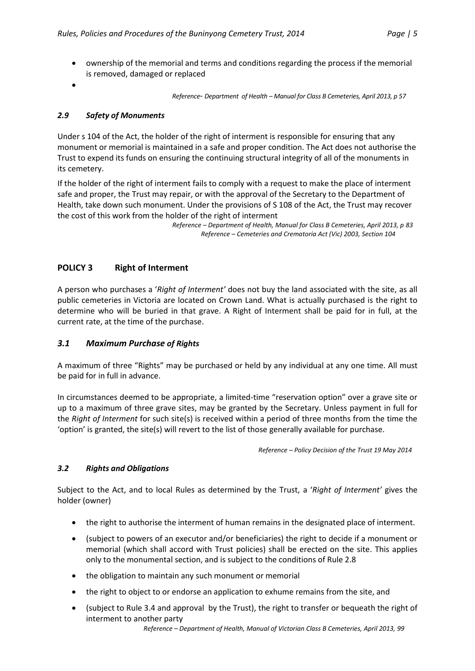- ownership of the memorial and terms and conditions regarding the process if the memorial is removed, damaged or replaced
- $\bullet$

 *Reference*- *Department of Health – Manual for Class B Cemeteries, April 2013, p 57*

### *2.9 Safety of Monuments*

Under s 104 of the Act, the holder of the right of interment is responsible for ensuring that any monument or memorial is maintained in a safe and proper condition. The Act does not authorise the Trust to expend its funds on ensuring the continuing structural integrity of all of the monuments in its cemetery.

If the holder of the right of interment fails to comply with a request to make the place of interment safe and proper, the Trust may repair, or with the approval of the Secretary to the Department of Health, take down such monument. Under the provisions of S 108 of the Act, the Trust may recover the cost of this work from the holder of the right of interment

> *Reference – Department of Health, Manual for Class B Cemeteries, April 2013, p 83 Reference – Cemeteries and Crematoria Act (Vic) 2003, Section 104*

# **POLICY 3 Right of Interment**

A person who purchases a '*Right of Interment'* does not buy the land associated with the site, as all public cemeteries in Victoria are located on Crown Land. What is actually purchased is the right to determine who will be buried in that grave. A Right of Interment shall be paid for in full, at the current rate, at the time of the purchase.

### *3.1 Maximum Purchase of Rights*

A maximum of three "Rights" may be purchased or held by any individual at any one time. All must be paid for in full in advance.

In circumstances deemed to be appropriate, a limited-time "reservation option" over a grave site or up to a maximum of three grave sites, may be granted by the Secretary. Unless payment in full for the *Right of Interment* for such site(s) is received within a period of three months from the time the 'option' is granted, the site(s) will revert to the list of those generally available for purchase.

*Reference – Policy Decision of the Trust 19 May 2014*

### *3.2 Rights and Obligations*

Subject to the Act, and to local Rules as determined by the Trust, a '*Right of Interment'* gives the holder (owner)

- the right to authorise the interment of human remains in the designated place of interment.
- (subject to powers of an executor and/or beneficiaries) the right to decide if a monument or memorial (which shall accord with Trust policies) shall be erected on the site. This applies only to the monumental section, and is subject to the conditions of Rule 2.8
- the obligation to maintain any such monument or memorial
- the right to object to or endorse an application to exhume remains from the site, and
- (subject to Rule 3.4 and approval by the Trust), the right to transfer or bequeath the right of interment to another party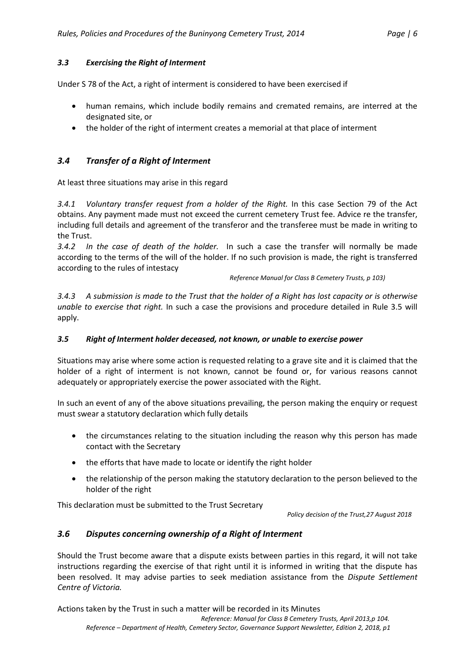#### *3.3 Exercising the Right of Interment*

Under S 78 of the Act, a right of interment is considered to have been exercised if

- human remains, which include bodily remains and cremated remains, are interred at the designated site, or
- the holder of the right of interment creates a memorial at that place of interment

### *3.4 Transfer of a Right of Interment*

At least three situations may arise in this regard

*3.4.1 Voluntary transfer request from a holder of the Right.* In this case Section 79 of the Act obtains. Any payment made must not exceed the current cemetery Trust fee. Advice re the transfer, including full details and agreement of the transferor and the transferee must be made in writing to the Trust.

*3.4.2 In the case of death of the holder.* In such a case the transfer will normally be made according to the terms of the will of the holder. If no such provision is made, the right is transferred according to the rules of intestacy

*Reference Manual for Class B Cemetery Trusts, p 103)*

*3.4.3 A submission is made to the Trust that the holder of a Right has lost capacity or is otherwise unable to exercise that right.* In such a case the provisions and procedure detailed in Rule 3.5 will apply.

#### *3.5 Right of Interment holder deceased, not known, or unable to exercise power*

Situations may arise where some action is requested relating to a grave site and it is claimed that the holder of a right of interment is not known, cannot be found or, for various reasons cannot adequately or appropriately exercise the power associated with the Right.

In such an event of any of the above situations prevailing, the person making the enquiry or request must swear a statutory declaration which fully details

- the circumstances relating to the situation including the reason why this person has made contact with the Secretary
- the efforts that have made to locate or identify the right holder
- the relationship of the person making the statutory declaration to the person believed to the holder of the right

This declaration must be submitted to the Trust Secretary

*Policy decision of the Trust,27 August 2018*

### *3.6 Disputes concerning ownership of a Right of Interment*

Should the Trust become aware that a dispute exists between parties in this regard, it will not take instructions regarding the exercise of that right until it is informed in writing that the dispute has been resolved. It may advise parties to seek mediation assistance from the *Dispute Settlement Centre of Victoria.*

Actions taken by the Trust in such a matter will be recorded in its Minutes

*Reference: Manual for Class B Cemetery Trusts, April 2013,p 104. Reference – Department of Health, Cemetery Sector, Governance Support Newsletter, Edition 2, 2018, p1*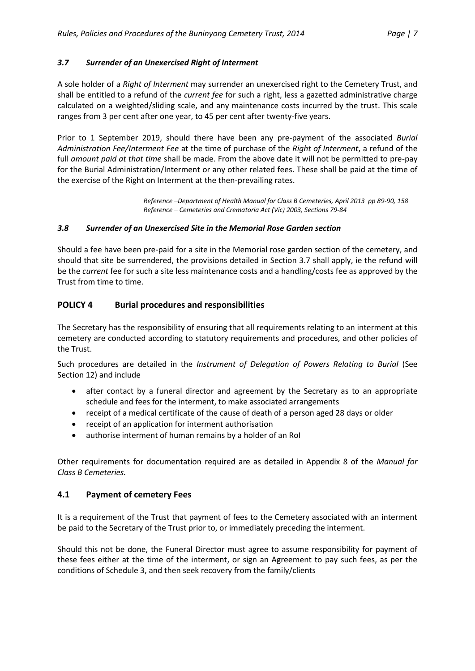### *3.7 Surrender of an Unexercised Right of Interment*

A sole holder of a *Right of Interment* may surrender an unexercised right to the Cemetery Trust, and shall be entitled to a refund of the *current fee* for such a right, less a gazetted administrative charge calculated on a weighted/sliding scale, and any maintenance costs incurred by the trust. This scale ranges from 3 per cent after one year, to 45 per cent after twenty-five years.

Prior to 1 September 2019, should there have been any pre-payment of the associated *Burial Administration Fee/Interment Fee* at the time of purchase of the *Right of Interment*, a refund of the full *amount paid at that time* shall be made. From the above date it will not be permitted to pre-pay for the Burial Administration/Interment or any other related fees. These shall be paid at the time of the exercise of the Right on Interment at the then-prevailing rates.

> *Reference –Department of Health Manual for Class B Cemeteries, April 2013 pp 89-90, 158 Reference – Cemeteries and Crematoria Act (Vic) 2003, Sections 79-84*

#### *3.8 Surrender of an Unexercised Site in the Memorial Rose Garden section*

Should a fee have been pre-paid for a site in the Memorial rose garden section of the cemetery, and should that site be surrendered, the provisions detailed in Section 3.7 shall apply, ie the refund will be the *current* fee for such a site less maintenance costs and a handling/costs fee as approved by the Trust from time to time.

### **POLICY 4 Burial procedures and responsibilities**

The Secretary has the responsibility of ensuring that all requirements relating to an interment at this cemetery are conducted according to statutory requirements and procedures, and other policies of the Trust.

Such procedures are detailed in the *Instrument of Delegation of Powers Relating to Burial* (See Section 12) and include

- after contact by a funeral director and agreement by the Secretary as to an appropriate schedule and fees for the interment, to make associated arrangements
- receipt of a medical certificate of the cause of death of a person aged 28 days or older
- receipt of an application for interment authorisation
- authorise interment of human remains by a holder of an RoI

Other requirements for documentation required are as detailed in Appendix 8 of the *Manual for Class B Cemeteries.*

### **4.1 Payment of cemetery Fees**

It is a requirement of the Trust that payment of fees to the Cemetery associated with an interment be paid to the Secretary of the Trust prior to, or immediately preceding the interment.

Should this not be done, the Funeral Director must agree to assume responsibility for payment of these fees either at the time of the interment, or sign an Agreement to pay such fees, as per the conditions of Schedule 3, and then seek recovery from the family/clients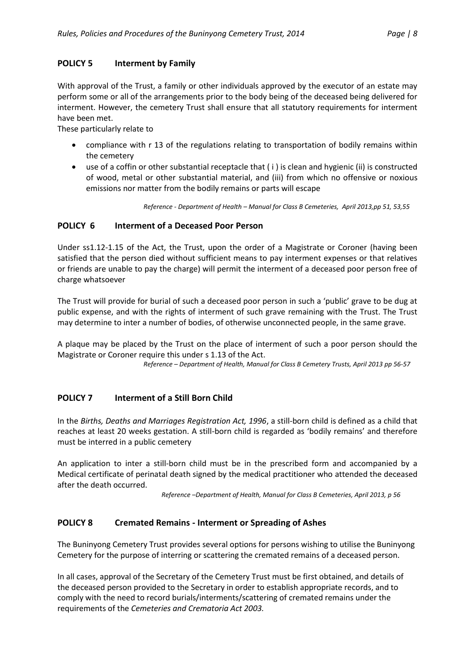### **POLICY 5 Interment by Family**

With approval of the Trust, a family or other individuals approved by the executor of an estate may perform some or all of the arrangements prior to the body being of the deceased being delivered for interment. However, the cemetery Trust shall ensure that all statutory requirements for interment have been met.

These particularly relate to

- compliance with r 13 of the regulations relating to transportation of bodily remains within the cemetery
- use of a coffin or other substantial receptacle that ( i ) is clean and hygienic (ii) is constructed of wood, metal or other substantial material, and (iii) from which no offensive or noxious emissions nor matter from the bodily remains or parts will escape

*Reference - Department of Health – Manual for Class B Cemeteries, April 2013,pp 51, 53,55*

### **POLICY 6 Interment of a Deceased Poor Person**

Under ss1.12-1.15 of the Act, the Trust, upon the order of a Magistrate or Coroner (having been satisfied that the person died without sufficient means to pay interment expenses or that relatives or friends are unable to pay the charge) will permit the interment of a deceased poor person free of charge whatsoever

The Trust will provide for burial of such a deceased poor person in such a 'public' grave to be dug at public expense, and with the rights of interment of such grave remaining with the Trust. The Trust may determine to inter a number of bodies, of otherwise unconnected people, in the same grave.

A plaque may be placed by the Trust on the place of interment of such a poor person should the Magistrate or Coroner require this under s 1.13 of the Act.

*Reference – Department of Health, Manual for Class B Cemetery Trusts, April 2013 pp 56-57*

# **POLICY 7 Interment of a Still Born Child**

In the *Births, Deaths and Marriages Registration Act, 1996*, a still-born child is defined as a child that reaches at least 20 weeks gestation. A still-born child is regarded as 'bodily remains' and therefore must be interred in a public cemetery

An application to inter a still-born child must be in the prescribed form and accompanied by a Medical certificate of perinatal death signed by the medical practitioner who attended the deceased after the death occurred.

*Reference –Department of Health, Manual for Class B Cemeteries, April 2013, p 56*

### **POLICY 8 Cremated Remains - Interment or Spreading of Ashes**

The Buninyong Cemetery Trust provides several options for persons wishing to utilise the Buninyong Cemetery for the purpose of interring or scattering the cremated remains of a deceased person.

In all cases, approval of the Secretary of the Cemetery Trust must be first obtained, and details of the deceased person provided to the Secretary in order to establish appropriate records, and to comply with the need to record burials/interments/scattering of cremated remains under the requirements of the *Cemeteries and Crematoria Act 2003.*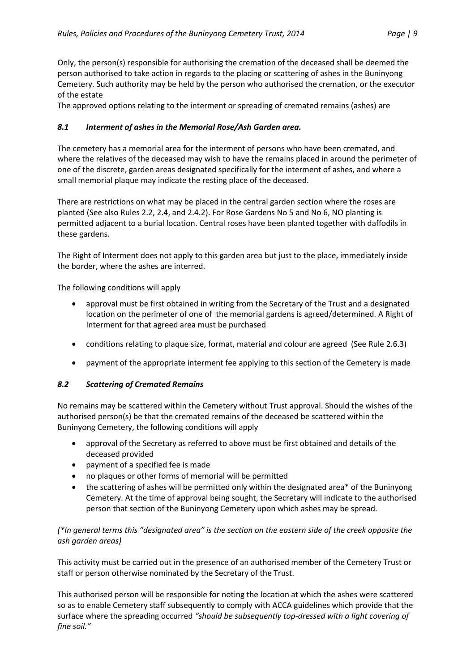Only, the person(s) responsible for authorising the cremation of the deceased shall be deemed the person authorised to take action in regards to the placing or scattering of ashes in the Buninyong Cemetery. Such authority may be held by the person who authorised the cremation, or the executor of the estate

The approved options relating to the interment or spreading of cremated remains (ashes) are

## *8.1 Interment of ashes in the Memorial Rose/Ash Garden area.*

The cemetery has a memorial area for the interment of persons who have been cremated, and where the relatives of the deceased may wish to have the remains placed in around the perimeter of one of the discrete, garden areas designated specifically for the interment of ashes, and where a small memorial plaque may indicate the resting place of the deceased.

There are restrictions on what may be placed in the central garden section where the roses are planted (See also Rules 2.2, 2.4, and 2.4.2). For Rose Gardens No 5 and No 6, NO planting is permitted adjacent to a burial location. Central roses have been planted together with daffodils in these gardens.

The Right of Interment does not apply to this garden area but just to the place, immediately inside the border, where the ashes are interred.

The following conditions will apply

- approval must be first obtained in writing from the Secretary of the Trust and a designated location on the perimeter of one of the memorial gardens is agreed/determined. A Right of Interment for that agreed area must be purchased
- conditions relating to plaque size, format, material and colour are agreed (See Rule 2.6.3)
- payment of the appropriate interment fee applying to this section of the Cemetery is made

### *8.2 Scattering of Cremated Remains*

No remains may be scattered within the Cemetery without Trust approval. Should the wishes of the authorised person(s) be that the cremated remains of the deceased be scattered within the Buninyong Cemetery, the following conditions will apply

- approval of the Secretary as referred to above must be first obtained and details of the deceased provided
- payment of a specified fee is made
- no plaques or other forms of memorial will be permitted
- the scattering of ashes will be permitted only within the designated area\* of the Buninyong Cemetery. At the time of approval being sought, the Secretary will indicate to the authorised person that section of the Buninyong Cemetery upon which ashes may be spread.

## *(\*In general terms this "designated area" is the section on the eastern side of the creek opposite the ash garden areas)*

This activity must be carried out in the presence of an authorised member of the Cemetery Trust or staff or person otherwise nominated by the Secretary of the Trust.

This authorised person will be responsible for noting the location at which the ashes were scattered so as to enable Cemetery staff subsequently to comply with ACCA guidelines which provide that the surface where the spreading occurred *"should be subsequently top-dressed with a light covering of fine soil."*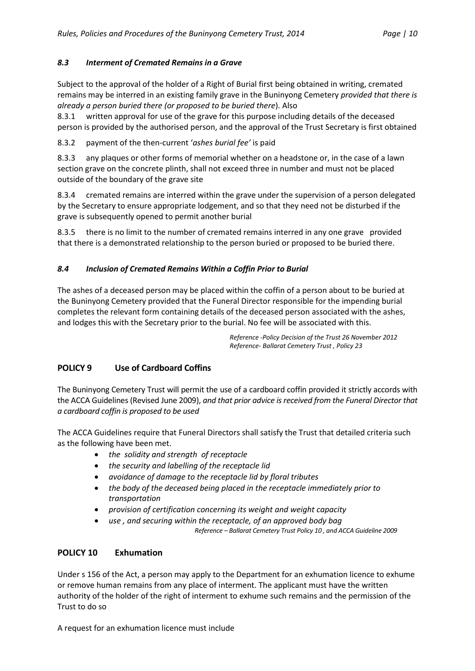## *8.3 Interment of Cremated Remains in a Grave*

Subject to the approval of the holder of a Right of Burial first being obtained in writing, cremated remains may be interred in an existing family grave in the Buninyong Cemetery *provided that there is already a person buried there (or proposed to be buried there*). Also

8.3.1 written approval for use of the grave for this purpose including details of the deceased person is provided by the authorised person, and the approval of the Trust Secretary is first obtained

8.3.2 payment of the then-current '*ashes burial fee'* is paid

8.3.3 any plaques or other forms of memorial whether on a headstone or, in the case of a lawn section grave on the concrete plinth, shall not exceed three in number and must not be placed outside of the boundary of the grave site

8.3.4 cremated remains are interred within the grave under the supervision of a person delegated by the Secretary to ensure appropriate lodgement, and so that they need not be disturbed if the grave is subsequently opened to permit another burial

8.3.5 there is no limit to the number of cremated remains interred in any one grave provided that there is a demonstrated relationship to the person buried or proposed to be buried there.

## *8.4 Inclusion of Cremated Remains Within a Coffin Prior to Burial*

The ashes of a deceased person may be placed within the coffin of a person about to be buried at the Buninyong Cemetery provided that the Funeral Director responsible for the impending burial completes the relevant form containing details of the deceased person associated with the ashes, and lodges this with the Secretary prior to the burial. No fee will be associated with this.

> *Reference -Policy Decision of the Trust 26 November 2012 Reference- Ballarat Cemetery Trust , Policy 23*

# **POLICY 9 Use of Cardboard Coffins**

The Buninyong Cemetery Trust will permit the use of a cardboard coffin provided it strictly accords with the ACCA Guidelines (Revised June 2009), *and that prior advice is received from the Funeral Director that a cardboard coffin is proposed to be used*

The ACCA Guidelines require that Funeral Directors shall satisfy the Trust that detailed criteria such as the following have been met.

- *the solidity and strength of receptacle*
- *the security and labelling of the receptacle lid*
- *avoidance of damage to the receptacle lid by floral tributes*
- *the body of the deceased being placed in the receptacle immediately prior to transportation*
- *provision of certification concerning its weight and weight capacity*
	- *use , and securing within the receptacle, of an approved body bag*

 *Reference – Ballarat Cemetery Trust Policy 10 , and ACCA Guideline 2009*

# **POLICY 10 Exhumation**

Under s 156 of the Act, a person may apply to the Department for an exhumation licence to exhume or remove human remains from any place of interment. The applicant must have the written authority of the holder of the right of interment to exhume such remains and the permission of the Trust to do so

A request for an exhumation licence must include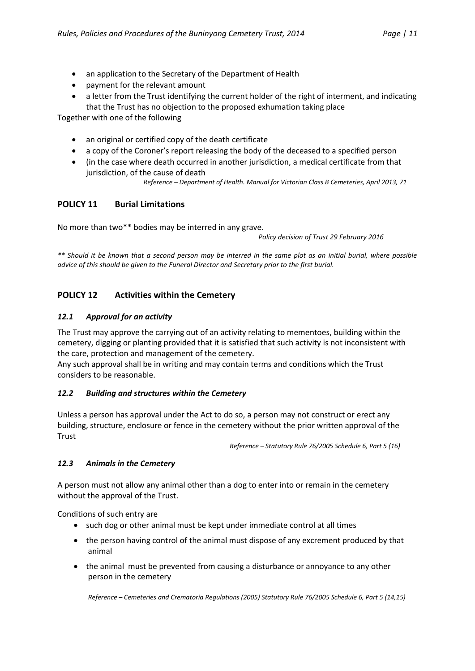- an application to the Secretary of the Department of Health
- payment for the relevant amount
- a letter from the Trust identifying the current holder of the right of interment, and indicating that the Trust has no objection to the proposed exhumation taking place

Together with one of the following

- an original or certified copy of the death certificate
- a copy of the Coroner's report releasing the body of the deceased to a specified person
- (in the case where death occurred in another jurisdiction, a medical certificate from that jurisdiction, of the cause of death

*Reference – Department of Health. Manual for Victorian Class B Cemeteries, April 2013, 71*

## **POLICY 11 Burial Limitations**

No more than two\*\* bodies may be interred in any grave.

*Policy decision of Trust 29 February 2016*

*\*\* Should it be known that a second person may be interred in the same plot as an initial burial, where possible advice of this should be given to the Funeral Director and Secretary prior to the first burial.*

# **POLICY 12 Activities within the Cemetery**

#### *12.1 Approval for an activity*

The Trust may approve the carrying out of an activity relating to mementoes, building within the cemetery, digging or planting provided that it is satisfied that such activity is not inconsistent with the care, protection and management of the cemetery.

Any such approval shall be in writing and may contain terms and conditions which the Trust considers to be reasonable.

### *12.2 Building and structures within the Cemetery*

Unless a person has approval under the Act to do so, a person may not construct or erect any building, structure, enclosure or fence in the cemetery without the prior written approval of the **Trust** 

*Reference – Statutory Rule 76/2005 Schedule 6, Part 5 (16)*

### *12.3 Animals in the Cemetery*

A person must not allow any animal other than a dog to enter into or remain in the cemetery without the approval of the Trust.

Conditions of such entry are

- such dog or other animal must be kept under immediate control at all times
- the person having control of the animal must dispose of any excrement produced by that animal
- the animal must be prevented from causing a disturbance or annoyance to any other person in the cemetery

*Reference – Cemeteries and Crematoria Regulations (2005) Statutory Rule 76/2005 Schedule 6, Part 5 (14,15)*